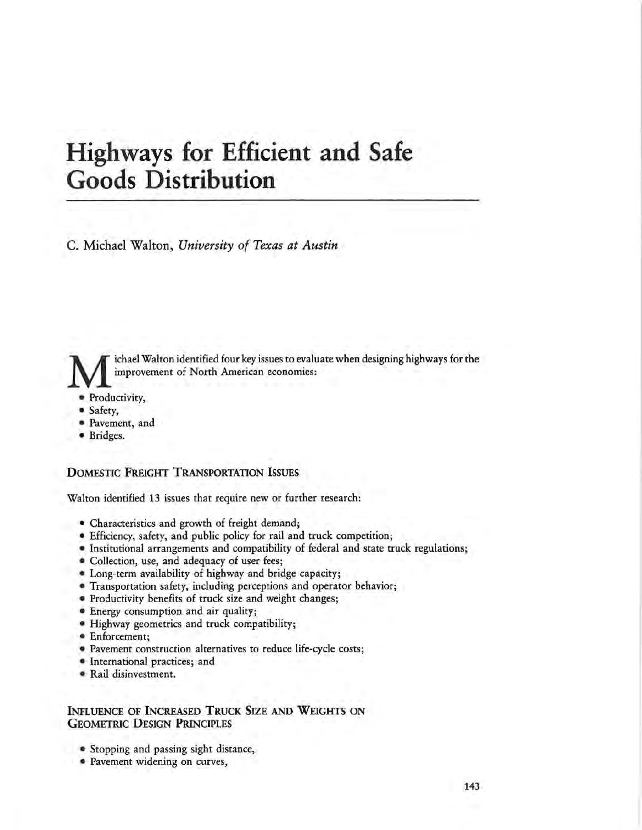# **Highways for Efficient and Safe Goods Distribution**

C. Michael Walton, *University of Texas at Austin* 

ichael Walton identified four key issues to evaluate when designing highways for the improvement of North American economies:

- Productivity,
- Safety,
- Pavement, and
- Bridges.

## **DOMESTIC FREIGHT TRANSPORTATION ISSUES**

Walton identified 13 issues that require new or further research:

- Characteristics and growth of freight demand;
- Efficiency, safety, and public policy for rail and truck competition;
- Institutional arrangements and compatibility of federal and state truck regulations;
- Collection, use, and adequacy of user fees;
- Long-term availability of highway and bridge capacity;
- Transportation safety, including perceptions and operator behavior;
- Productivity benefits of truck size and weight changes;
- Energy consumption and air quality;
- Highway geometrics and truck compatibility;
- Enforcement;
- Pavement construction alternatives to reduce life-cycle costs;
- International practices; and
- Rail disinvestment.

## **INFLUENCE OF INCREASED TRUCK SIZE AND WEIGHTS ON GEOMETRIC DESIGN PRINCIPLES**

- Stopping and passing sight distance,
- Pavement widening on curves,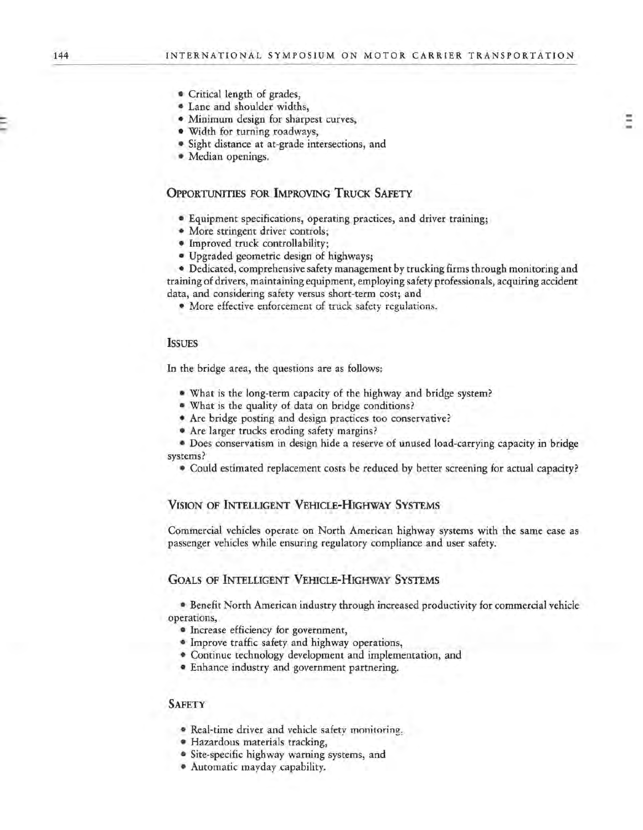- Critical length of grades,
- Lane and shoulder widths,
- Minimum design for sharpest curves,
- Width for turning roadways,
- Sight distance at at-grade intersections, and
- Median openings.

## **OPPORTUNITIES FOR IMPROVING TRUCK SAFETY**

- Equipment specifications, operating practices, and driver training;
- More stringent driver controls;
- Improved truck controllability;
- Upgraded geometric design of highways;

• Dedicated, comprehensive safety management by trucking firms through monitoring and training of drivers, maintaining equipment, employing safety professionals, acquiring accident data, and considering safety versus short-term cost; and

• More effective enforcement of truck safety regulations.

#### **ISSUES**

In the bridge area, the questions are as follows:

- What is the long-term capacity of the highway and bridge system?
- What is the quality of data on bridge conditions?
- Are bridge posting and design practices too conservative?
- Are larger trucks eroding safety margins?

• Does conservatism in design hide a reserve of unused load-carrying capacity in bridge systems?

• Could estimated replacement costs be reduced by better screening for actual capacity?

### **VISION OF INTELLIGENT VEHICLE-HIGHWAY SYSTEMS**

Commercial vehicles operate on North American highway systems with the same ease as passenger vehicles while ensuring regulatory compliance and user safety.

## GOALS OF INTELLIGENT VEHICLE-HIGHWAY SYSTEMS

• Benefit North American industry through increased productivity for commercial vehicle operations,

- Increase efficiency for government,
- Improve traffic safety and highway operations,
- Continue technology development and implementation, and
- Enhance industry and government partnering.

#### **SAFETY**

- Real-time driver and vehicle safety monitoring,
- Hazardous materials tracking,
- Site-specific highway warning systems, and
- Automatic mayday capability.

-... ...